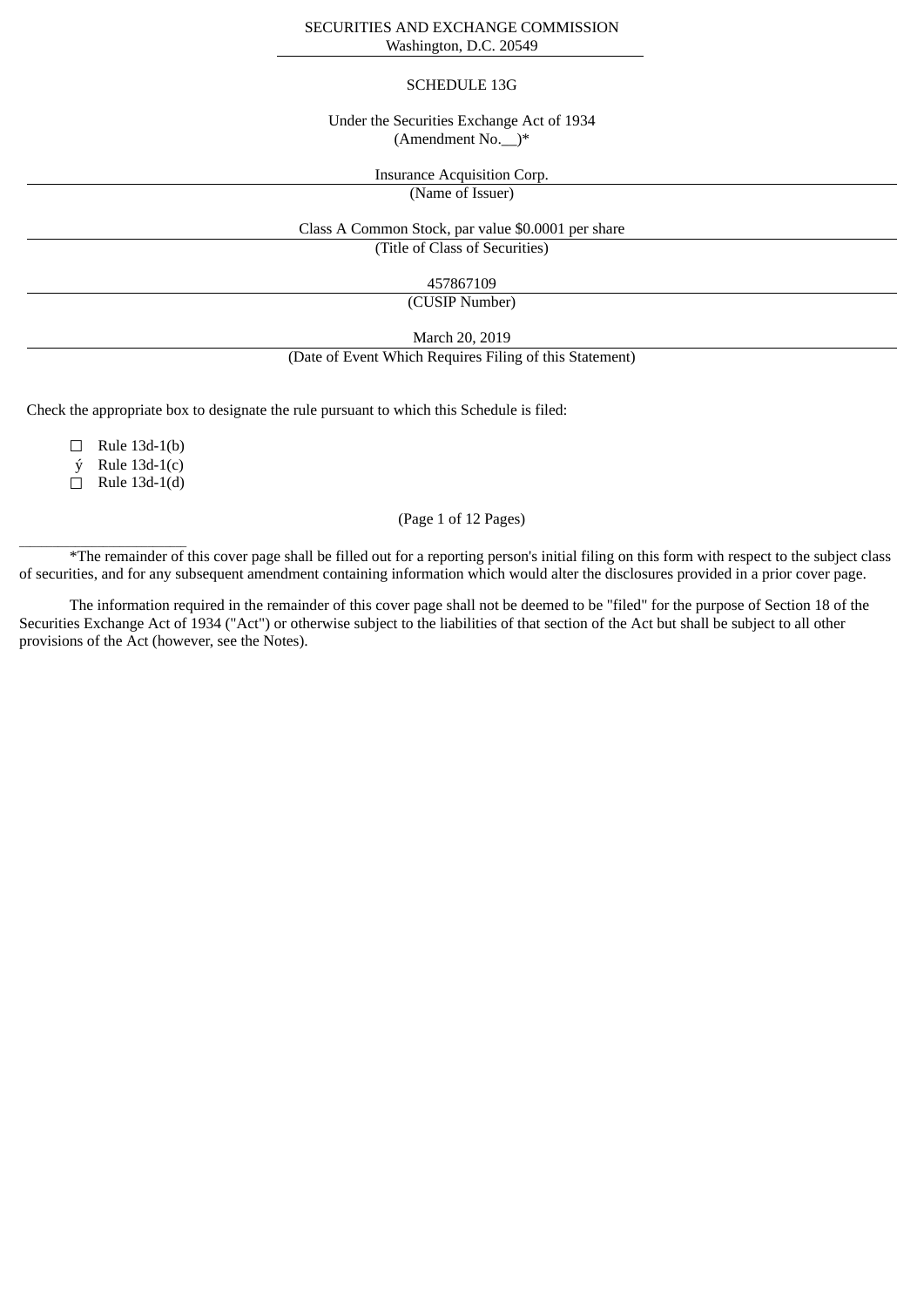### SECURITIES AND EXCHANGE COMMISSION Washington, D.C. 20549

### SCHEDULE 13G

### Under the Securities Exchange Act of 1934 (Amendment No.  $)*$

Insurance Acquisition Corp.

(Name of Issuer)

Class A Common Stock, par value \$0.0001 per share

(Title of Class of Securities)

457867109

(CUSIP Number)

March 20, 2019

(Date of Event Which Requires Filing of this Statement)

Check the appropriate box to designate the rule pursuant to which this Schedule is filed:

 $\Box$  Rule 13d-1(b)

 $\acute{y}$  Rule 13d-1(c)

 $\Box$  Rule 13d-1(d)

## (Page 1 of 12 Pages)

**The remainder of this cover page shall be filled out for a reporting person's initial filing on this form with respect to the subject class** of securities, and for any subsequent amendment containing information which would alter the disclosures provided in a prior cover page.

The information required in the remainder of this cover page shall not be deemed to be "filed" for the purpose of Section 18 of the Securities Exchange Act of 1934 ("Act") or otherwise subject to the liabilities of that section of the Act but shall be subject to all other provisions of the Act (however, see the Notes).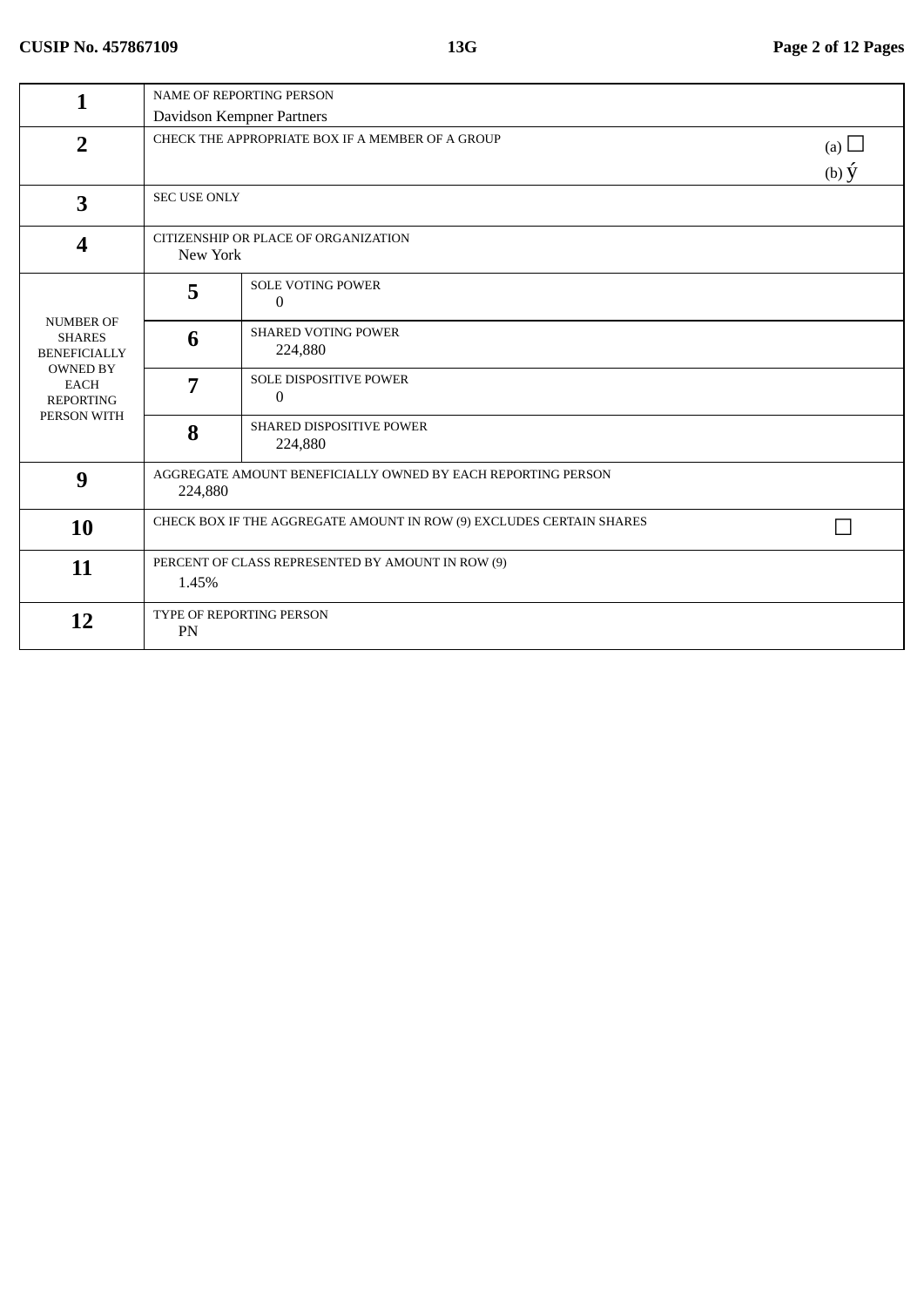| 1                                                                                                                             | <b>NAME OF REPORTING PERSON</b>                                      |                                                              |                   |  |
|-------------------------------------------------------------------------------------------------------------------------------|----------------------------------------------------------------------|--------------------------------------------------------------|-------------------|--|
|                                                                                                                               |                                                                      | Davidson Kempner Partners                                    |                   |  |
| $\overline{2}$                                                                                                                |                                                                      | CHECK THE APPROPRIATE BOX IF A MEMBER OF A GROUP             | (a) $\Box$        |  |
|                                                                                                                               |                                                                      |                                                              | $(b)$ $\acute{y}$ |  |
| $\overline{\mathbf{3}}$                                                                                                       |                                                                      | <b>SEC USE ONLY</b>                                          |                   |  |
| $\overline{\mathbf{4}}$                                                                                                       | CITIZENSHIP OR PLACE OF ORGANIZATION<br>New York                     |                                                              |                   |  |
|                                                                                                                               | 5                                                                    | <b>SOLE VOTING POWER</b><br>0                                |                   |  |
| <b>NUMBER OF</b><br><b>SHARES</b><br><b>BENEFICIALLY</b><br><b>OWNED BY</b><br><b>EACH</b><br><b>REPORTING</b><br>PERSON WITH | 6                                                                    | <b>SHARED VOTING POWER</b><br>224,880                        |                   |  |
|                                                                                                                               | 7                                                                    | SOLE DISPOSITIVE POWER<br>0                                  |                   |  |
|                                                                                                                               | 8                                                                    | SHARED DISPOSITIVE POWER<br>224,880                          |                   |  |
| 9                                                                                                                             | 224,880                                                              | AGGREGATE AMOUNT BENEFICIALLY OWNED BY EACH REPORTING PERSON |                   |  |
| 10                                                                                                                            | CHECK BOX IF THE AGGREGATE AMOUNT IN ROW (9) EXCLUDES CERTAIN SHARES |                                                              |                   |  |
| 11                                                                                                                            | PERCENT OF CLASS REPRESENTED BY AMOUNT IN ROW (9)<br>1.45%           |                                                              |                   |  |
| 12                                                                                                                            | PN                                                                   | TYPE OF REPORTING PERSON                                     |                   |  |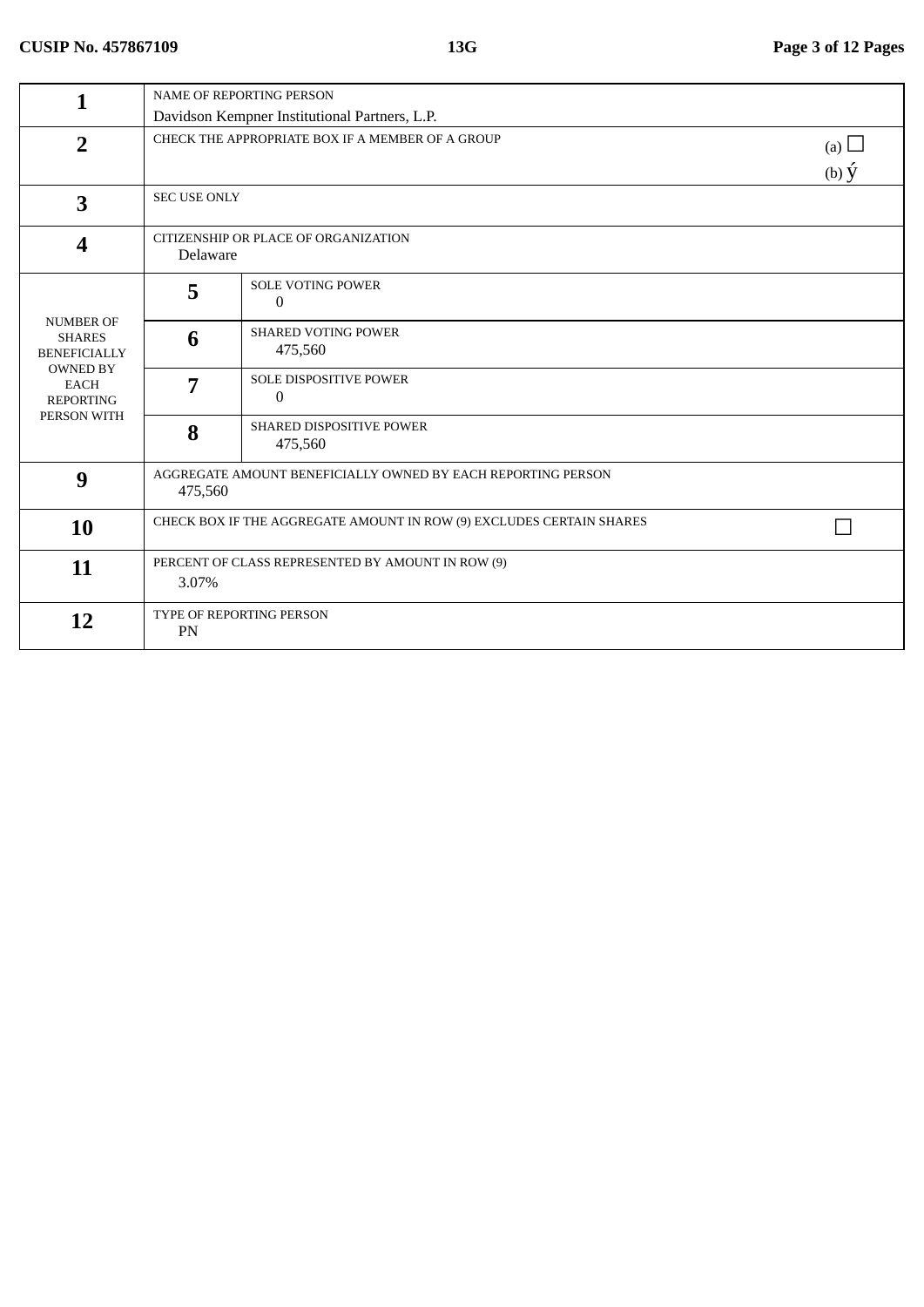| 1                                                                                                                             | <b>NAME OF REPORTING PERSON</b>                                      |                                                              |                   |  |
|-------------------------------------------------------------------------------------------------------------------------------|----------------------------------------------------------------------|--------------------------------------------------------------|-------------------|--|
|                                                                                                                               |                                                                      | Davidson Kempner Institutional Partners, L.P.                |                   |  |
| $\overline{2}$                                                                                                                |                                                                      | CHECK THE APPROPRIATE BOX IF A MEMBER OF A GROUP             | (a) $\Box$        |  |
|                                                                                                                               |                                                                      |                                                              | $(b)$ $\acute{y}$ |  |
| 3                                                                                                                             |                                                                      | <b>SEC USE ONLY</b>                                          |                   |  |
| $\overline{\mathbf{4}}$                                                                                                       | CITIZENSHIP OR PLACE OF ORGANIZATION<br>Delaware                     |                                                              |                   |  |
|                                                                                                                               | 5                                                                    | <b>SOLE VOTING POWER</b><br>$\Omega$                         |                   |  |
| <b>NUMBER OF</b><br><b>SHARES</b><br><b>BENEFICIALLY</b><br><b>OWNED BY</b><br><b>EACH</b><br><b>REPORTING</b><br>PERSON WITH | 6                                                                    | <b>SHARED VOTING POWER</b><br>475,560                        |                   |  |
|                                                                                                                               | 7                                                                    | SOLE DISPOSITIVE POWER<br>$\Omega$                           |                   |  |
|                                                                                                                               | 8                                                                    | SHARED DISPOSITIVE POWER<br>475,560                          |                   |  |
| 9                                                                                                                             | 475,560                                                              | AGGREGATE AMOUNT BENEFICIALLY OWNED BY EACH REPORTING PERSON |                   |  |
| 10                                                                                                                            | CHECK BOX IF THE AGGREGATE AMOUNT IN ROW (9) EXCLUDES CERTAIN SHARES |                                                              |                   |  |
| 11                                                                                                                            | PERCENT OF CLASS REPRESENTED BY AMOUNT IN ROW (9)<br>3.07%           |                                                              |                   |  |
| 12                                                                                                                            | PN                                                                   | TYPE OF REPORTING PERSON                                     |                   |  |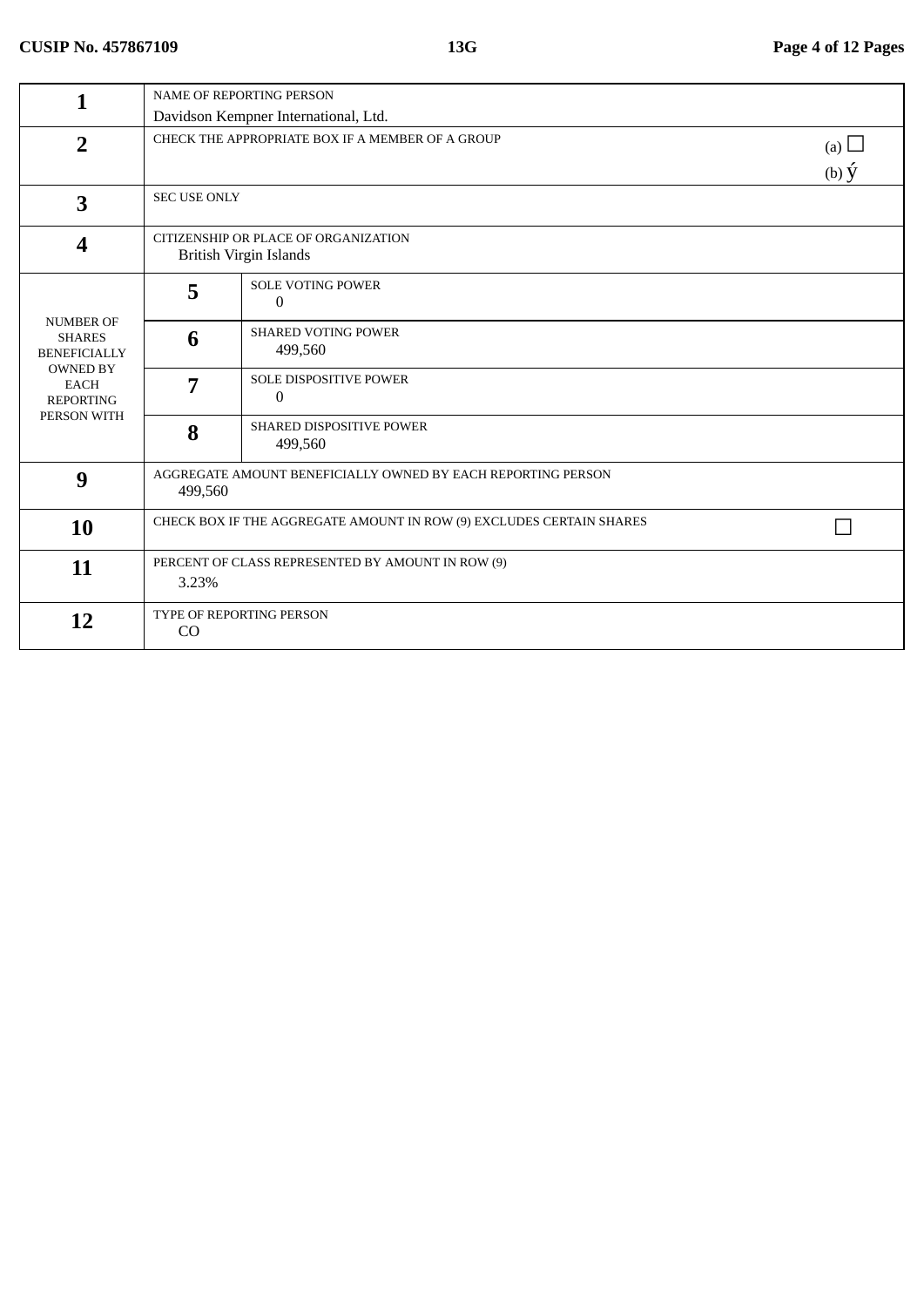| 1                                                                                                               | NAME OF REPORTING PERSON                                             |                                                              |                   |  |
|-----------------------------------------------------------------------------------------------------------------|----------------------------------------------------------------------|--------------------------------------------------------------|-------------------|--|
|                                                                                                                 |                                                                      | Davidson Kempner International, Ltd.                         |                   |  |
| $\overline{2}$                                                                                                  | CHECK THE APPROPRIATE BOX IF A MEMBER OF A GROUP<br>(a) $\Box$       |                                                              |                   |  |
|                                                                                                                 |                                                                      |                                                              | $(b)$ $\acute{y}$ |  |
| 3                                                                                                               |                                                                      | <b>SEC USE ONLY</b>                                          |                   |  |
| $\overline{\mathbf{4}}$                                                                                         | CITIZENSHIP OR PLACE OF ORGANIZATION<br>British Virgin Islands       |                                                              |                   |  |
| NUMBER OF<br><b>SHARES</b><br><b>BENEFICIALLY</b><br><b>OWNED BY</b><br>EACH<br><b>REPORTING</b><br>PERSON WITH | 5                                                                    | <b>SOLE VOTING POWER</b><br>$\Omega$                         |                   |  |
|                                                                                                                 | 6                                                                    | <b>SHARED VOTING POWER</b><br>499,560                        |                   |  |
|                                                                                                                 | 7                                                                    | <b>SOLE DISPOSITIVE POWER</b><br>$\Omega$                    |                   |  |
|                                                                                                                 | 8                                                                    | <b>SHARED DISPOSITIVE POWER</b><br>499,560                   |                   |  |
| 9                                                                                                               | 499,560                                                              | AGGREGATE AMOUNT BENEFICIALLY OWNED BY EACH REPORTING PERSON |                   |  |
| 10                                                                                                              | CHECK BOX IF THE AGGREGATE AMOUNT IN ROW (9) EXCLUDES CERTAIN SHARES |                                                              |                   |  |
| 11                                                                                                              | PERCENT OF CLASS REPRESENTED BY AMOUNT IN ROW (9)<br>3.23%           |                                                              |                   |  |
| 12                                                                                                              | TYPE OF REPORTING PERSON<br>CO                                       |                                                              |                   |  |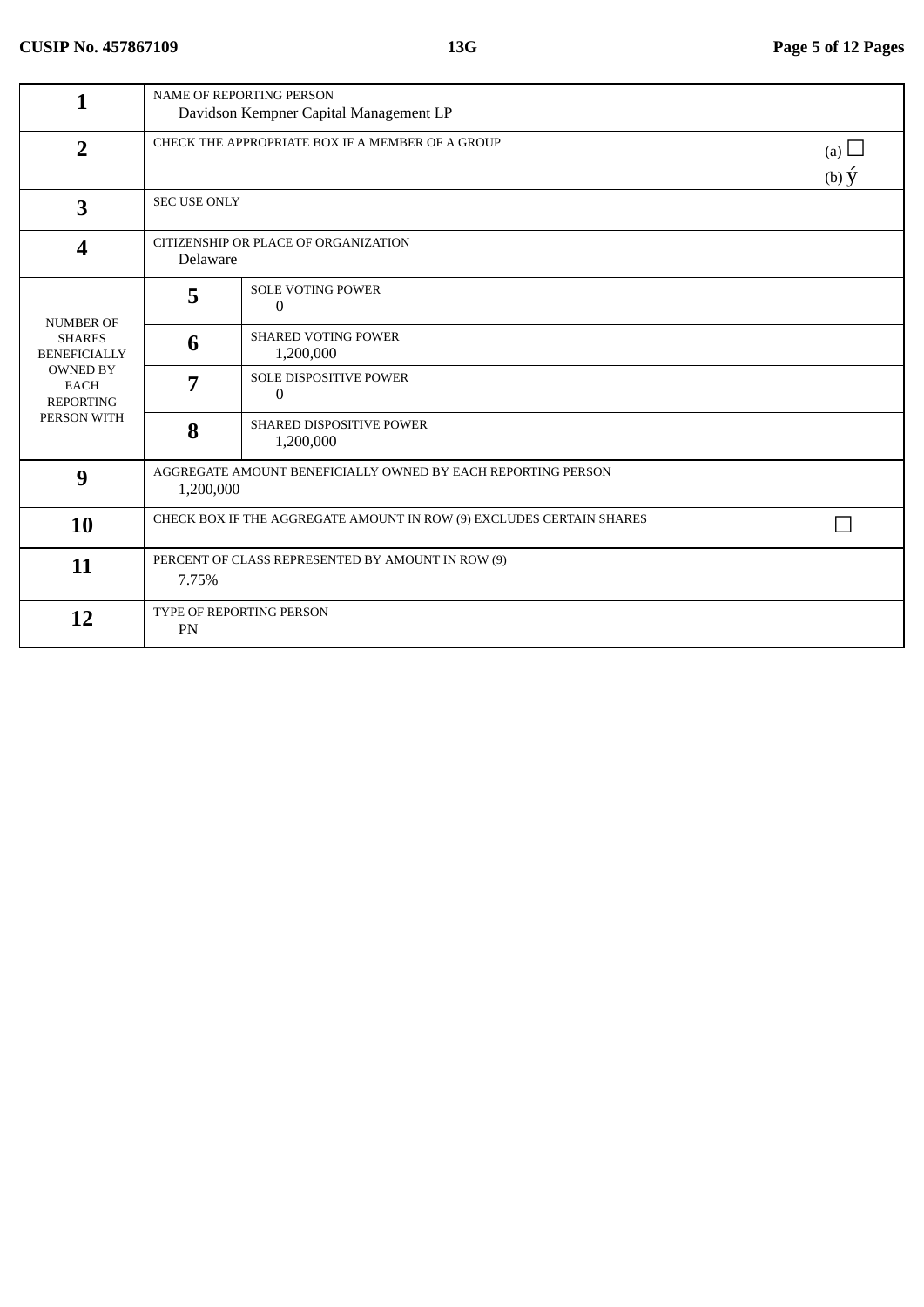| 1                                                                                                                             | <b>NAME OF REPORTING PERSON</b><br>Davidson Kempner Capital Management LP |                                                                                   |  |  |
|-------------------------------------------------------------------------------------------------------------------------------|---------------------------------------------------------------------------|-----------------------------------------------------------------------------------|--|--|
| $\overline{2}$                                                                                                                |                                                                           | CHECK THE APPROPRIATE BOX IF A MEMBER OF A GROUP<br>(a) $\Box$<br>(b) $\acute{y}$ |  |  |
| 3                                                                                                                             |                                                                           | <b>SEC USE ONLY</b>                                                               |  |  |
| 4                                                                                                                             | CITIZENSHIP OR PLACE OF ORGANIZATION<br>Delaware                          |                                                                                   |  |  |
| <b>NUMBER OF</b><br><b>SHARES</b><br><b>BENEFICIALLY</b><br><b>OWNED BY</b><br><b>EACH</b><br><b>REPORTING</b><br>PERSON WITH | 5                                                                         | <b>SOLE VOTING POWER</b><br>0                                                     |  |  |
|                                                                                                                               | 6                                                                         | <b>SHARED VOTING POWER</b><br>1,200,000                                           |  |  |
|                                                                                                                               | 7                                                                         | SOLE DISPOSITIVE POWER<br>$\Omega$                                                |  |  |
|                                                                                                                               | 8                                                                         | SHARED DISPOSITIVE POWER<br>1,200,000                                             |  |  |
| 9                                                                                                                             | AGGREGATE AMOUNT BENEFICIALLY OWNED BY EACH REPORTING PERSON<br>1,200,000 |                                                                                   |  |  |
| 10                                                                                                                            | CHECK BOX IF THE AGGREGATE AMOUNT IN ROW (9) EXCLUDES CERTAIN SHARES      |                                                                                   |  |  |
| 11                                                                                                                            | PERCENT OF CLASS REPRESENTED BY AMOUNT IN ROW (9)<br>7.75%                |                                                                                   |  |  |
| 12                                                                                                                            | TYPE OF REPORTING PERSON<br>PN                                            |                                                                                   |  |  |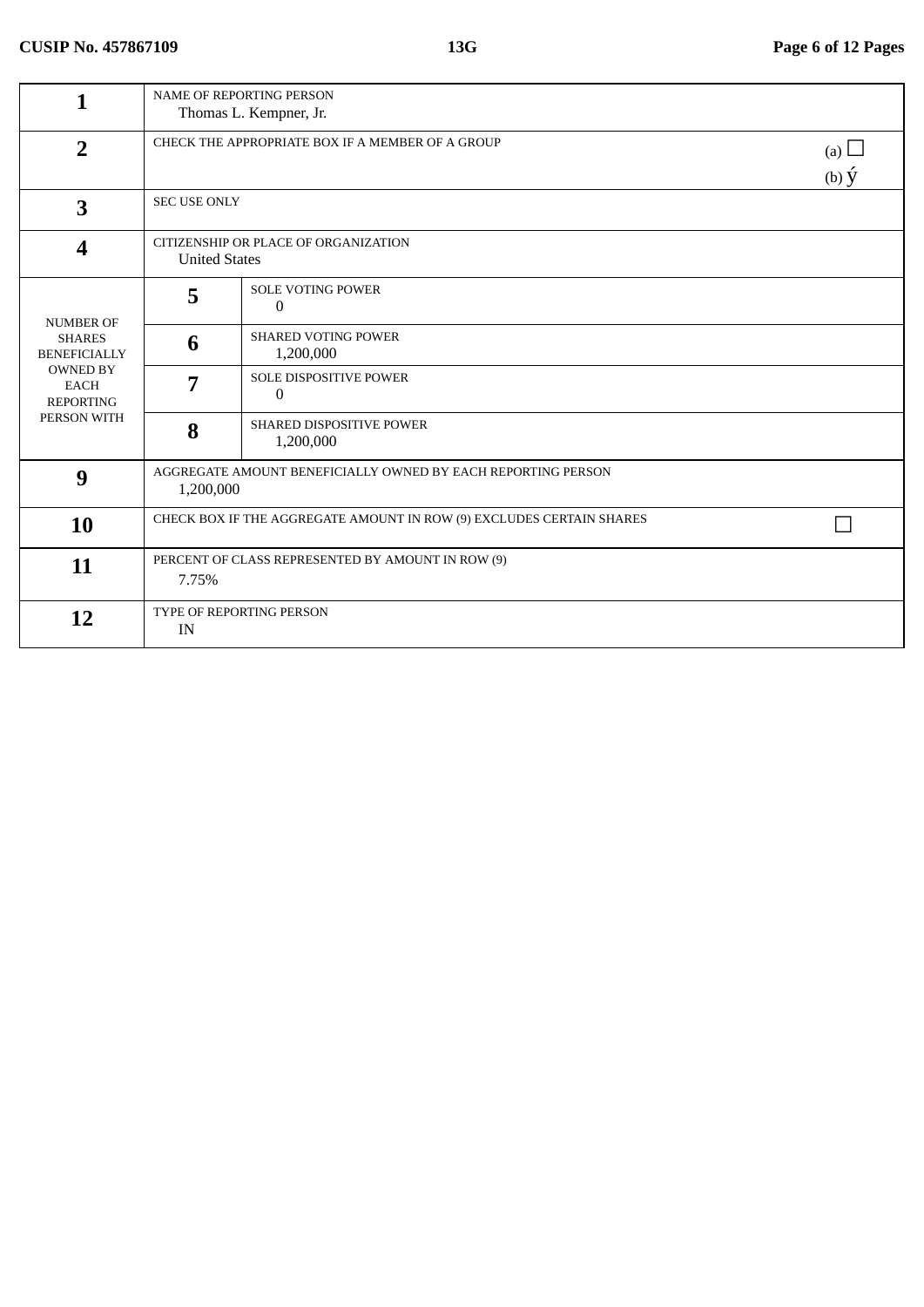| 1                                                                                                                             | NAME OF REPORTING PERSON<br>Thomas L. Kempner, Jr.                   |                                                                                   |  |  |
|-------------------------------------------------------------------------------------------------------------------------------|----------------------------------------------------------------------|-----------------------------------------------------------------------------------|--|--|
| $\overline{2}$                                                                                                                |                                                                      | CHECK THE APPROPRIATE BOX IF A MEMBER OF A GROUP<br>(a) $\Box$<br>(b) $\acute{y}$ |  |  |
| 3                                                                                                                             |                                                                      | <b>SEC USE ONLY</b>                                                               |  |  |
| 4                                                                                                                             | CITIZENSHIP OR PLACE OF ORGANIZATION<br><b>United States</b>         |                                                                                   |  |  |
| <b>NUMBER OF</b><br><b>SHARES</b><br><b>BENEFICIALLY</b><br><b>OWNED BY</b><br><b>EACH</b><br><b>REPORTING</b><br>PERSON WITH | 5                                                                    | <b>SOLE VOTING POWER</b><br>0                                                     |  |  |
|                                                                                                                               | 6                                                                    | <b>SHARED VOTING POWER</b><br>1,200,000                                           |  |  |
|                                                                                                                               | 7                                                                    | <b>SOLE DISPOSITIVE POWER</b><br>0                                                |  |  |
|                                                                                                                               | 8                                                                    | SHARED DISPOSITIVE POWER<br>1,200,000                                             |  |  |
| 9                                                                                                                             | 1,200,000                                                            | AGGREGATE AMOUNT BENEFICIALLY OWNED BY EACH REPORTING PERSON                      |  |  |
| <b>10</b>                                                                                                                     | CHECK BOX IF THE AGGREGATE AMOUNT IN ROW (9) EXCLUDES CERTAIN SHARES |                                                                                   |  |  |
| 11                                                                                                                            | PERCENT OF CLASS REPRESENTED BY AMOUNT IN ROW (9)<br>7.75%           |                                                                                   |  |  |
| 12                                                                                                                            | IN                                                                   | TYPE OF REPORTING PERSON                                                          |  |  |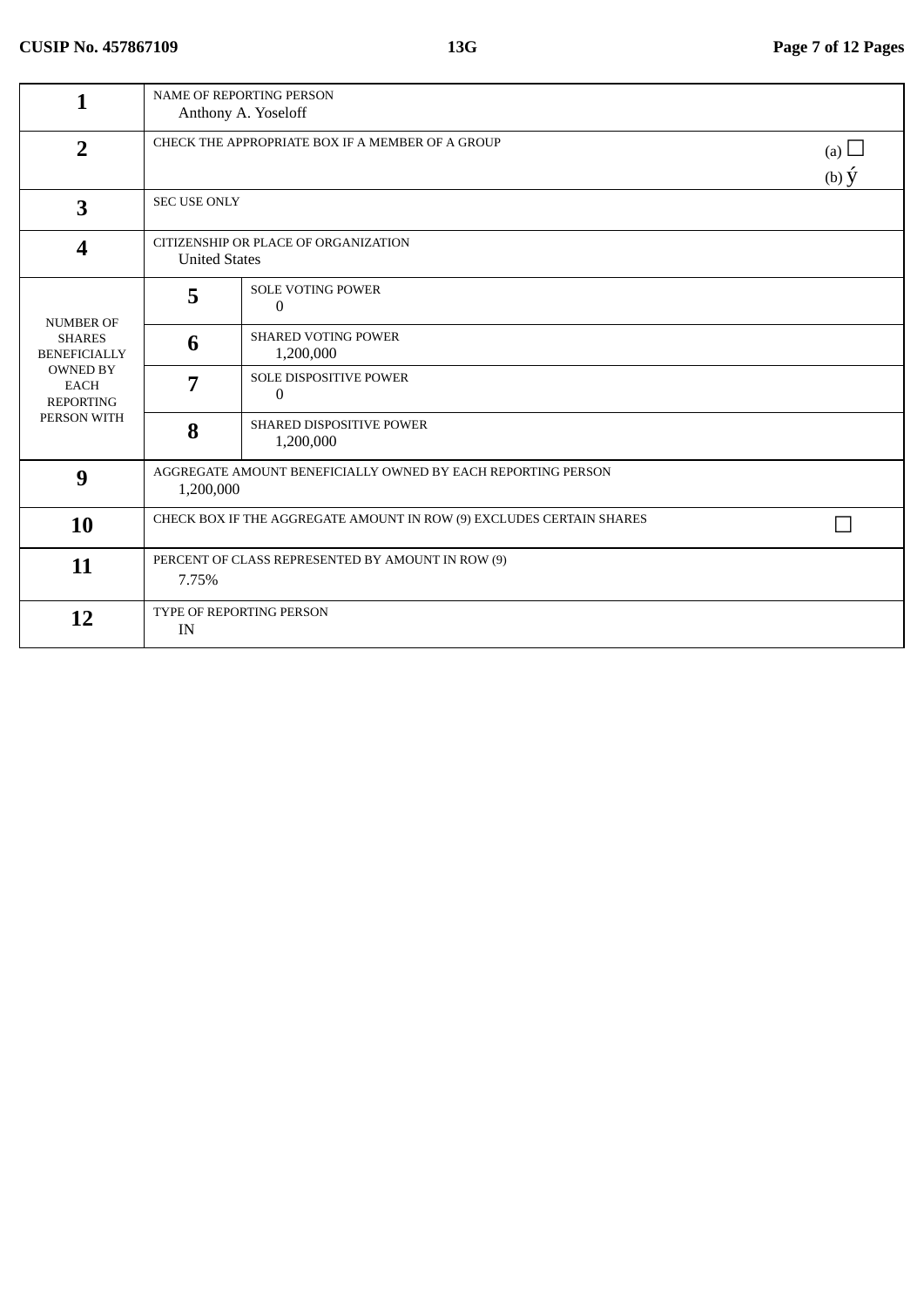| 1                                                                 |                                                                      | <b>NAME OF REPORTING PERSON</b><br>Anthony A. Yoseloff                            |  |  |
|-------------------------------------------------------------------|----------------------------------------------------------------------|-----------------------------------------------------------------------------------|--|--|
| $\overline{2}$                                                    |                                                                      | CHECK THE APPROPRIATE BOX IF A MEMBER OF A GROUP<br>(a) $\Box$<br>(b) $\acute{y}$ |  |  |
| 3                                                                 |                                                                      | <b>SEC USE ONLY</b>                                                               |  |  |
| $\boldsymbol{4}$                                                  | CITIZENSHIP OR PLACE OF ORGANIZATION<br><b>United States</b>         |                                                                                   |  |  |
| <b>NUMBER OF</b>                                                  | 5                                                                    | <b>SOLE VOTING POWER</b><br>0                                                     |  |  |
| <b>SHARES</b><br><b>BENEFICIALLY</b>                              | 6                                                                    | <b>SHARED VOTING POWER</b><br>1,200,000                                           |  |  |
| <b>OWNED BY</b><br><b>EACH</b><br><b>REPORTING</b><br>PERSON WITH | 7                                                                    | SOLE DISPOSITIVE POWER<br>0                                                       |  |  |
|                                                                   | 8                                                                    | SHARED DISPOSITIVE POWER<br>1,200,000                                             |  |  |
| 9                                                                 | 1,200,000                                                            | AGGREGATE AMOUNT BENEFICIALLY OWNED BY EACH REPORTING PERSON                      |  |  |
| 10                                                                | CHECK BOX IF THE AGGREGATE AMOUNT IN ROW (9) EXCLUDES CERTAIN SHARES |                                                                                   |  |  |
| 11                                                                | PERCENT OF CLASS REPRESENTED BY AMOUNT IN ROW (9)<br>7.75%           |                                                                                   |  |  |
| 12                                                                | TYPE OF REPORTING PERSON<br>IN                                       |                                                                                   |  |  |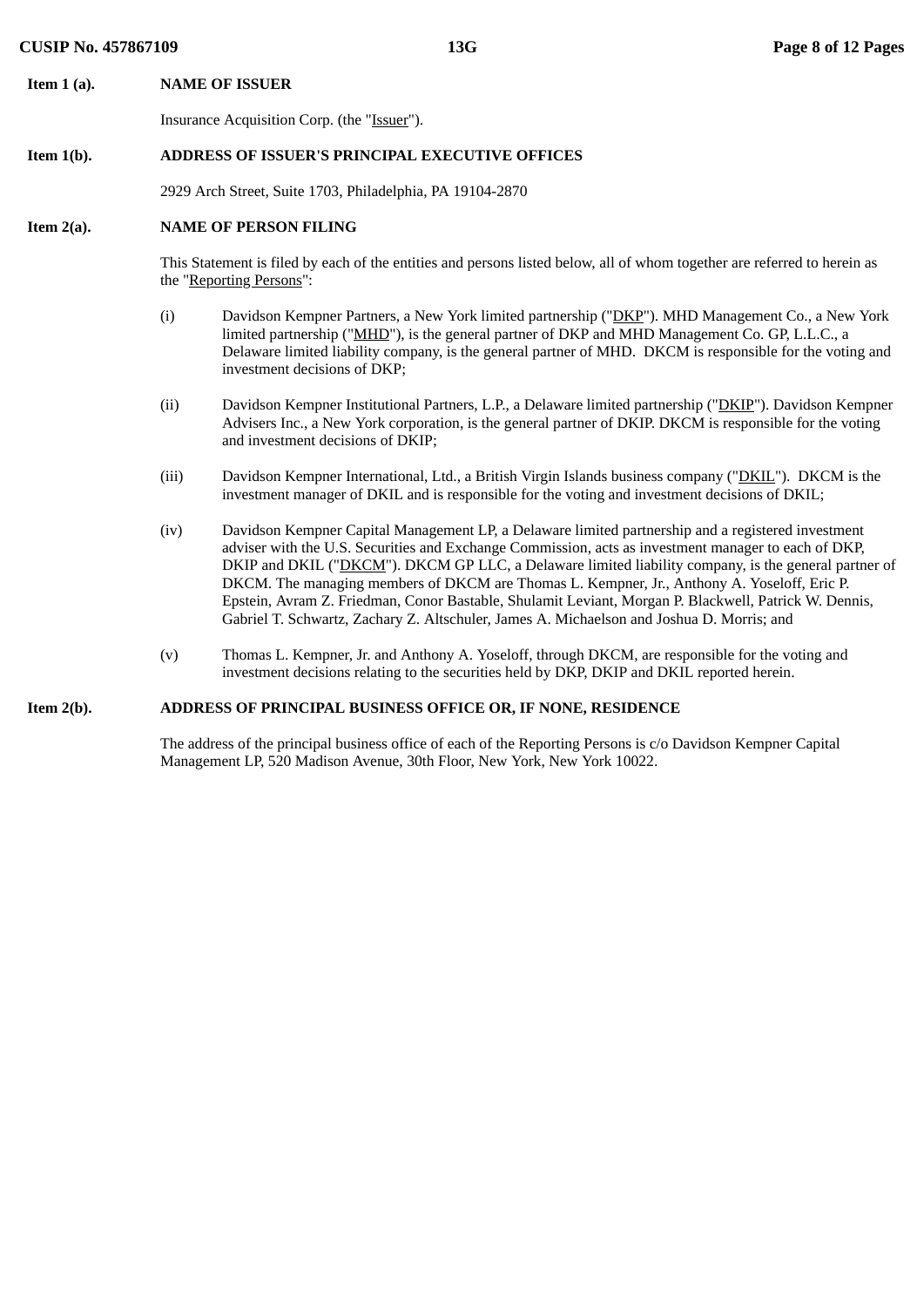**Item 1 (a). NAME OF ISSUER**

Insurance Acquisition Corp. (the "Issuer").

# **Item 1(b). ADDRESS OF ISSUER'S PRINCIPAL EXECUTIVE OFFICES**

2929 Arch Street, Suite 1703, Philadelphia, PA 19104-2870

## **Item 2(a). NAME OF PERSON FILING**

This Statement is filed by each of the entities and persons listed below, all of whom together are referred to herein as the "Reporting Persons":

- (i) Davidson Kempner Partners, a New York limited partnership ("DKP"). MHD Management Co., a New York limited partnership ("MHD"), is the general partner of DKP and MHD Management Co. GP, L.L.C., a Delaware limited liability company, is the general partner of MHD. DKCM is responsible for the voting and investment decisions of DKP;
- (ii) Davidson Kempner Institutional Partners, L.P., a Delaware limited partnership ("DKIP"). Davidson Kempner Advisers Inc., a New York corporation, is the general partner of DKIP. DKCM is responsible for the voting and investment decisions of DKIP;
- (iii) Davidson Kempner International, Ltd., a British Virgin Islands business company ("DKIL"). DKCM is the investment manager of DKIL and is responsible for the voting and investment decisions of DKIL;
- (iv) Davidson Kempner Capital Management LP, a Delaware limited partnership and a registered investment adviser with the U.S. Securities and Exchange Commission, acts as investment manager to each of DKP, DKIP and DKIL ("DKCM"). DKCM GP LLC, a Delaware limited liability company, is the general partner of DKCM. The managing members of DKCM are Thomas L. Kempner, Jr., Anthony A. Yoseloff, Eric P. Epstein, Avram Z. Friedman, Conor Bastable, Shulamit Leviant, Morgan P. Blackwell, Patrick W. Dennis, Gabriel T. Schwartz, Zachary Z. Altschuler, James A. Michaelson and Joshua D. Morris; and
- (v) Thomas L. Kempner, Jr. and Anthony A. Yoseloff, through DKCM, are responsible for the voting and investment decisions relating to the securities held by DKP, DKIP and DKIL reported herein.

# **Item 2(b). ADDRESS OF PRINCIPAL BUSINESS OFFICE OR, IF NONE, RESIDENCE**

The address of the principal business office of each of the Reporting Persons is c/o Davidson Kempner Capital Management LP, 520 Madison Avenue, 30th Floor, New York, New York 10022.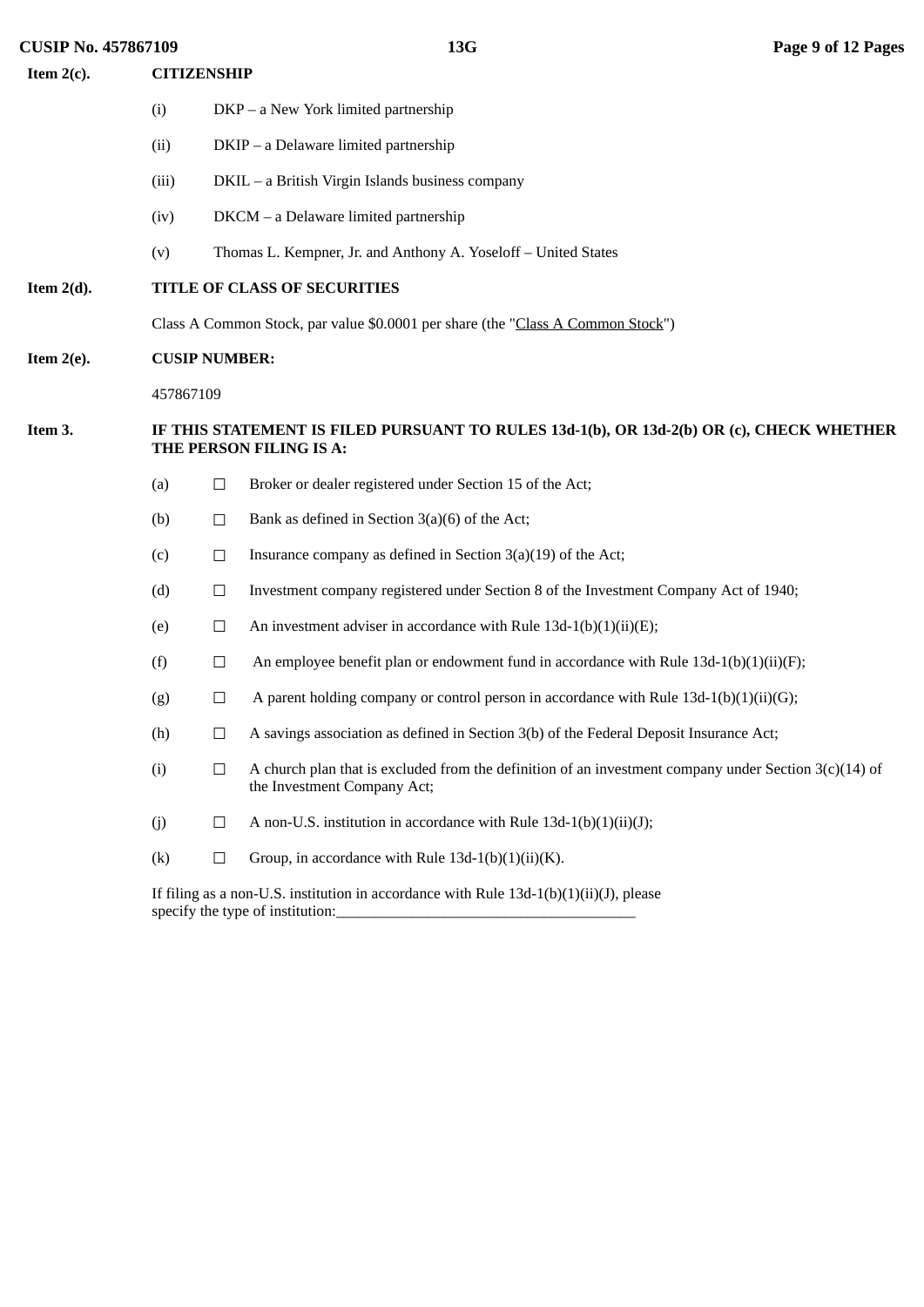**CUSIP No. 457867109 13G Page 9 of 12 Pages Item 2(c). CITIZENSHIP** (i) DKP – a New York limited partnership (ii) DKIP – a Delaware limited partnership (iii) DKIL – a British Virgin Islands business company (iv) DKCM – a Delaware limited partnership (v) Thomas L. Kempner, Jr. and Anthony A. Yoseloff – United States **Item 2(d). TITLE OF CLASS OF SECURITIES** Class A Common Stock, par value \$0.0001 per share (the "Class A Common Stock") **Item 2(e). CUSIP NUMBER:** 457867109 **Item 3. IF THIS STATEMENT IS FILED PURSUANT TO RULES 13d-1(b), OR 13d-2(b) OR (c), CHECK WHETHER THE PERSON FILING IS A:** (a)  $\Box$  Broker or dealer registered under Section 15 of the Act; (b)  $\Box$  Bank as defined in Section 3(a)(6) of the Act; (c)  $\Box$  Insurance company as defined in Section 3(a)(19) of the Act; (d) ☐ Investment company registered under Section 8 of the Investment Company Act of 1940; (e)  $\Box$  An investment adviser in accordance with Rule 13d-1(b)(1)(ii)(E); (f)  $\Box$  An employee benefit plan or endowment fund in accordance with Rule 13d-1(b)(1)(ii)(F); (g)  $\Box$  A parent holding company or control person in accordance with Rule 13d-1(b)(1)(ii)(G); (h)  $\Box$  A savings association as defined in Section 3(b) of the Federal Deposit Insurance Act; (i)  $\Box$  A church plan that is excluded from the definition of an investment company under Section 3(c)(14) of the Investment Company Act; (j)  $\Box$  A non-U.S. institution in accordance with Rule 13d-1(b)(1)(ii)(J); (k)  $\Box$  Group, in accordance with Rule 13d-1(b)(1)(ii)(K).

> If filing as a non-U.S. institution in accordance with Rule  $13d-1(b)(1)(ii)(J)$ , please specify the type of institution: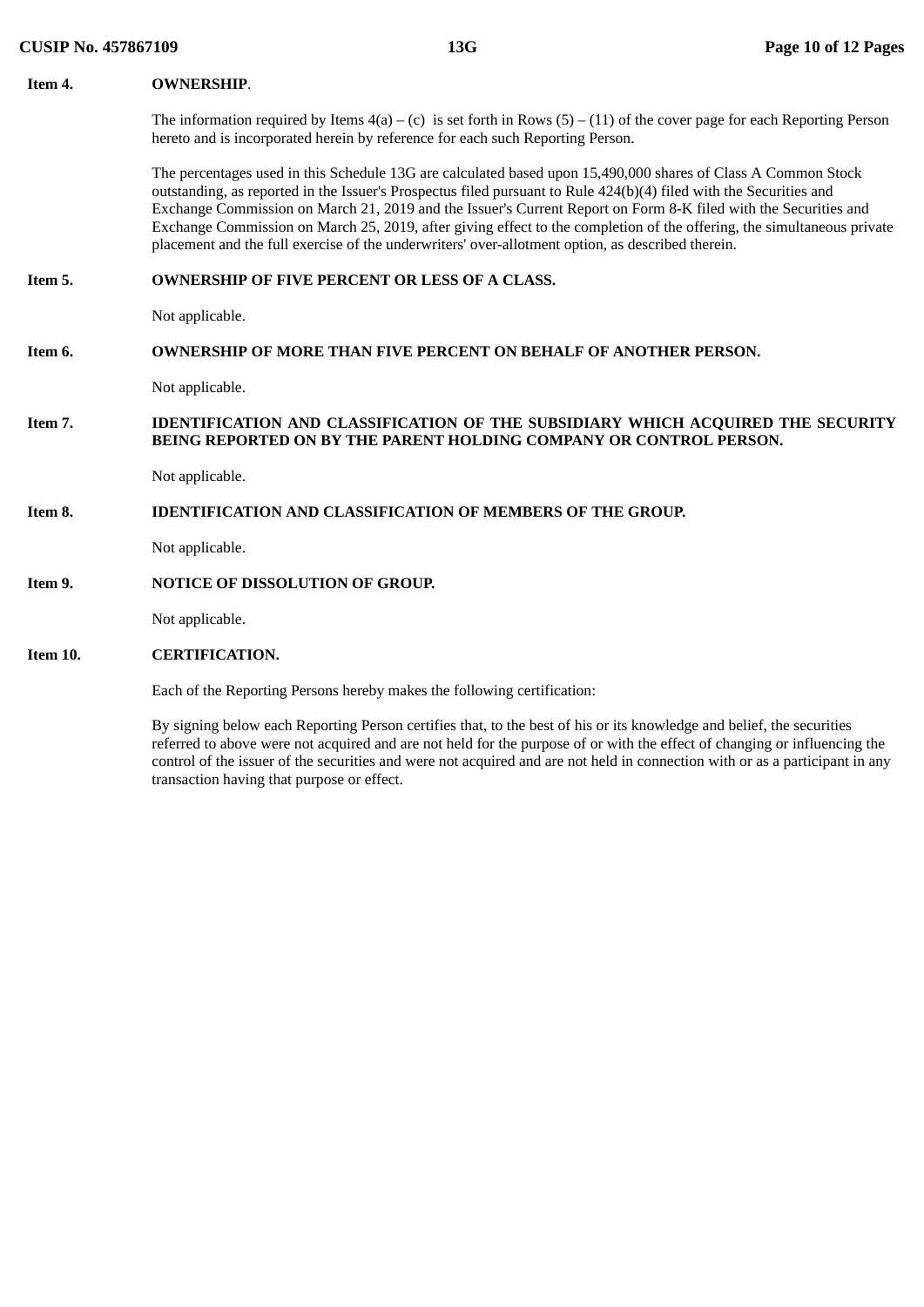| Item 4.  | <b>OWNERSHIP.</b>                                                                                                                                                                                                                                                                                                                                                                                                                                                                                                                                                                     |
|----------|---------------------------------------------------------------------------------------------------------------------------------------------------------------------------------------------------------------------------------------------------------------------------------------------------------------------------------------------------------------------------------------------------------------------------------------------------------------------------------------------------------------------------------------------------------------------------------------|
|          | The information required by Items $4(a) - (c)$ is set forth in Rows $(5) - (11)$ of the cover page for each Reporting Person<br>hereto and is incorporated herein by reference for each such Reporting Person.                                                                                                                                                                                                                                                                                                                                                                        |
|          | The percentages used in this Schedule 13G are calculated based upon 15,490,000 shares of Class A Common Stock<br>outstanding, as reported in the Issuer's Prospectus filed pursuant to Rule 424(b)(4) filed with the Securities and<br>Exchange Commission on March 21, 2019 and the Issuer's Current Report on Form 8-K filed with the Securities and<br>Exchange Commission on March 25, 2019, after giving effect to the completion of the offering, the simultaneous private<br>placement and the full exercise of the underwriters' over-allotment option, as described therein. |
| Item 5.  | <b>OWNERSHIP OF FIVE PERCENT OR LESS OF A CLASS.</b>                                                                                                                                                                                                                                                                                                                                                                                                                                                                                                                                  |
|          | Not applicable.                                                                                                                                                                                                                                                                                                                                                                                                                                                                                                                                                                       |
| Item 6.  | <b>OWNERSHIP OF MORE THAN FIVE PERCENT ON BEHALF OF ANOTHER PERSON.</b>                                                                                                                                                                                                                                                                                                                                                                                                                                                                                                               |
|          | Not applicable.                                                                                                                                                                                                                                                                                                                                                                                                                                                                                                                                                                       |
| Item 7.  | IDENTIFICATION AND CLASSIFICATION OF THE SUBSIDIARY WHICH ACQUIRED THE SECURITY<br>BEING REPORTED ON BY THE PARENT HOLDING COMPANY OR CONTROL PERSON.                                                                                                                                                                                                                                                                                                                                                                                                                                 |
|          | Not applicable.                                                                                                                                                                                                                                                                                                                                                                                                                                                                                                                                                                       |
| Item 8.  | <b>IDENTIFICATION AND CLASSIFICATION OF MEMBERS OF THE GROUP.</b>                                                                                                                                                                                                                                                                                                                                                                                                                                                                                                                     |
|          | Not applicable.                                                                                                                                                                                                                                                                                                                                                                                                                                                                                                                                                                       |
| Item 9.  | <b>NOTICE OF DISSOLUTION OF GROUP.</b>                                                                                                                                                                                                                                                                                                                                                                                                                                                                                                                                                |
|          | Not applicable.                                                                                                                                                                                                                                                                                                                                                                                                                                                                                                                                                                       |
| Item 10. | <b>CERTIFICATION.</b>                                                                                                                                                                                                                                                                                                                                                                                                                                                                                                                                                                 |
|          |                                                                                                                                                                                                                                                                                                                                                                                                                                                                                                                                                                                       |

Each of the Reporting Persons hereby makes the following certification:

By signing below each Reporting Person certifies that, to the best of his or its knowledge and belief, the securities referred to above were not acquired and are not held for the purpose of or with the effect of changing or influencing the control of the issuer of the securities and were not acquired and are not held in connection with or as a participant in any transaction having that purpose or effect.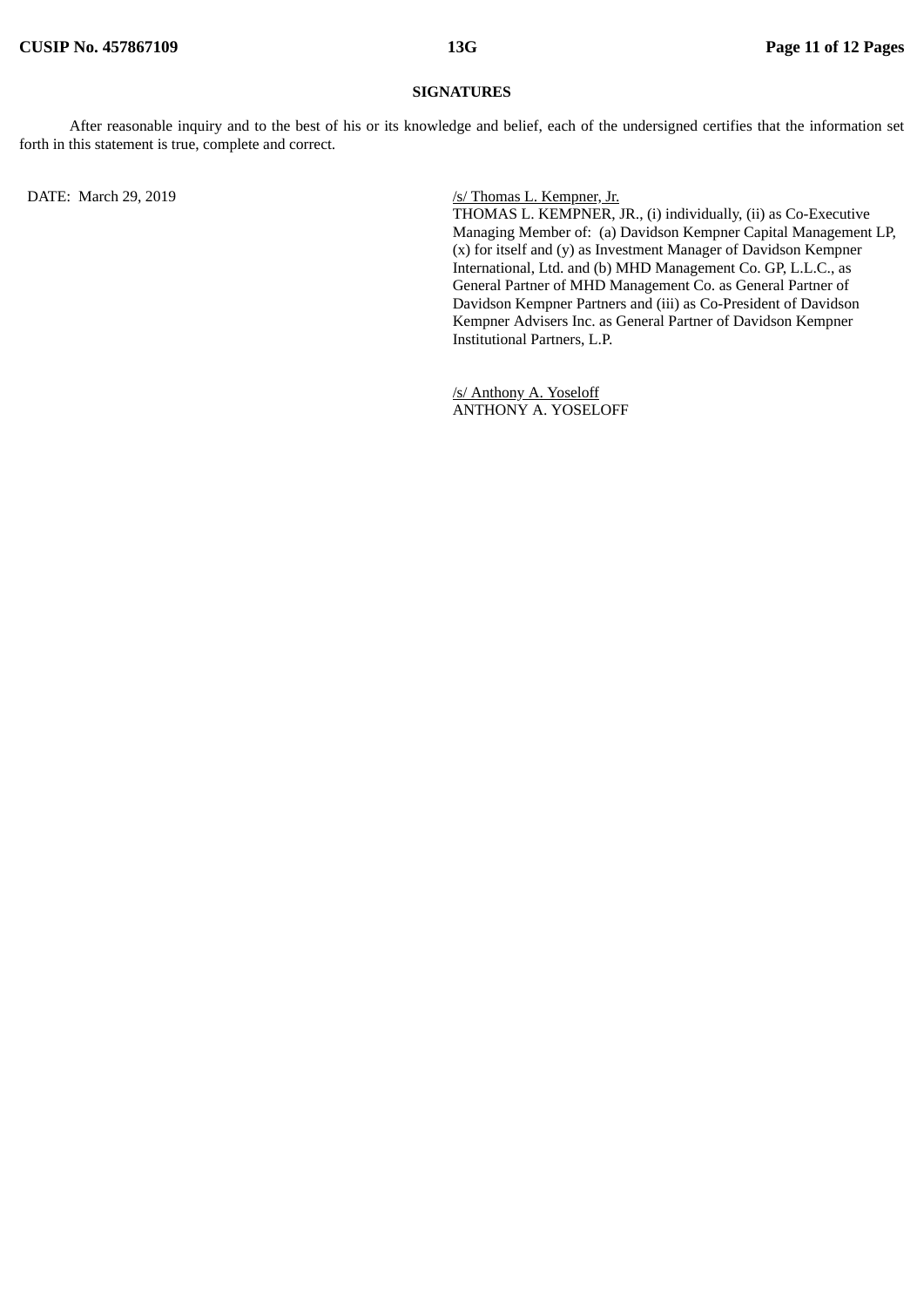## **SIGNATURES**

After reasonable inquiry and to the best of his or its knowledge and belief, each of the undersigned certifies that the information set forth in this statement is true, complete and correct.

DATE: March 29, 2019 */s/ Thomas L. Kempner, Jr.* 

THOMAS L. KEMPNER, JR., (i) individually, (ii) as Co-Executive Managing Member of: (a) Davidson Kempner Capital Management LP, (x) for itself and (y) as Investment Manager of Davidson Kempner International, Ltd. and (b) MHD Management Co. GP, L.L.C., as General Partner of MHD Management Co. as General Partner of Davidson Kempner Partners and (iii) as Co-President of Davidson Kempner Advisers Inc. as General Partner of Davidson Kempner Institutional Partners, L.P.

/s/ Anthony A. Yoseloff ANTHONY A. YOSELOFF